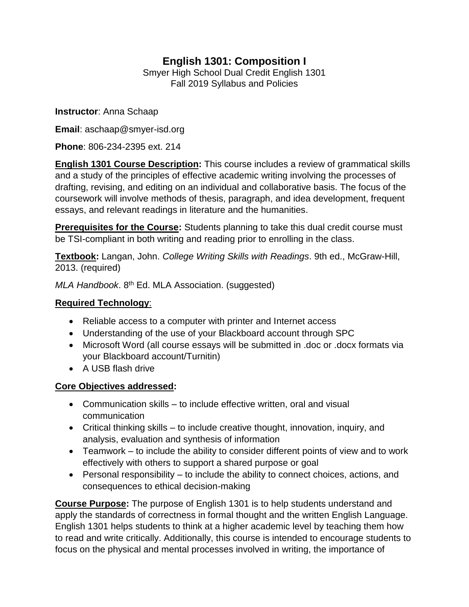# **English 1301: Composition I**

Smyer High School Dual Credit English 1301 Fall 2019 Syllabus and Policies

**Instructor**: Anna Schaap

**Email**: aschaap@smyer-isd.org

**Phone**: 806-234-2395 ext. 214

**English 1301 Course Description:** This course includes a review of grammatical skills and a study of the principles of effective academic writing involving the processes of drafting, revising, and editing on an individual and collaborative basis. The focus of the coursework will involve methods of thesis, paragraph, and idea development, frequent essays, and relevant readings in literature and the humanities.

**Prerequisites for the Course:** Students planning to take this dual credit course must be TSI-compliant in both writing and reading prior to enrolling in the class.

**Textbook:** Langan, John. *College Writing Skills with Readings*. 9th ed., McGraw-Hill, 2013. (required)

*MLA Handbook*. 8th Ed. MLA Association. (suggested)

#### **Required Technology**:

- Reliable access to a computer with printer and Internet access
- Understanding of the use of your Blackboard account through SPC
- Microsoft Word (all course essays will be submitted in .doc or .docx formats via your Blackboard account/Turnitin)
- A USB flash drive

# **Core Objectives addressed:**

- Communication skills to include effective written, oral and visual communication
- Critical thinking skills to include creative thought, innovation, inquiry, and analysis, evaluation and synthesis of information
- Teamwork to include the ability to consider different points of view and to work effectively with others to support a shared purpose or goal
- Personal responsibility to include the ability to connect choices, actions, and consequences to ethical decision-making

**Course Purpose:** The purpose of English 1301 is to help students understand and apply the standards of correctness in formal thought and the written English Language. English 1301 helps students to think at a higher academic level by teaching them how to read and write critically. Additionally, this course is intended to encourage students to focus on the physical and mental processes involved in writing, the importance of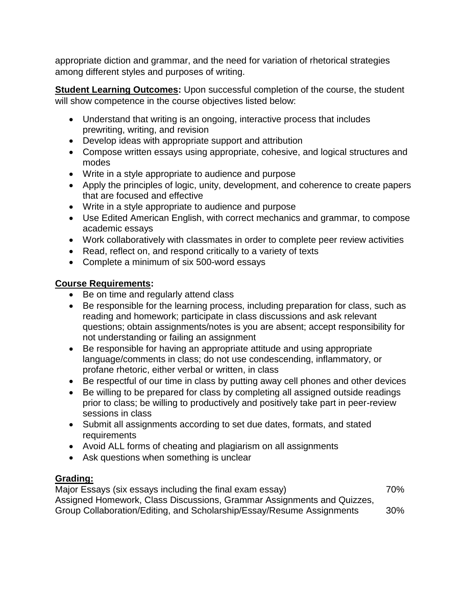appropriate diction and grammar, and the need for variation of rhetorical strategies among different styles and purposes of writing.

**Student Learning Outcomes:** Upon successful completion of the course, the student will show competence in the course objectives listed below:

- Understand that writing is an ongoing, interactive process that includes prewriting, writing, and revision
- Develop ideas with appropriate support and attribution
- Compose written essays using appropriate, cohesive, and logical structures and modes
- Write in a style appropriate to audience and purpose
- Apply the principles of logic, unity, development, and coherence to create papers that are focused and effective
- Write in a style appropriate to audience and purpose
- Use Edited American English, with correct mechanics and grammar, to compose academic essays
- Work collaboratively with classmates in order to complete peer review activities
- Read, reflect on, and respond critically to a variety of texts
- Complete a minimum of six 500-word essays

## **Course Requirements:**

- Be on time and regularly attend class
- Be responsible for the learning process, including preparation for class, such as reading and homework; participate in class discussions and ask relevant questions; obtain assignments/notes is you are absent; accept responsibility for not understanding or failing an assignment
- Be responsible for having an appropriate attitude and using appropriate language/comments in class; do not use condescending, inflammatory, or profane rhetoric, either verbal or written, in class
- Be respectful of our time in class by putting away cell phones and other devices
- Be willing to be prepared for class by completing all assigned outside readings prior to class; be willing to productively and positively take part in peer-review sessions in class
- Submit all assignments according to set due dates, formats, and stated requirements
- Avoid ALL forms of cheating and plagiarism on all assignments
- Ask questions when something is unclear

### **Grading:**

Major Essays (six essays including the final exam essay) 70% Assigned Homework, Class Discussions, Grammar Assignments and Quizzes, Group Collaboration/Editing, and Scholarship/Essay/Resume Assignments 30%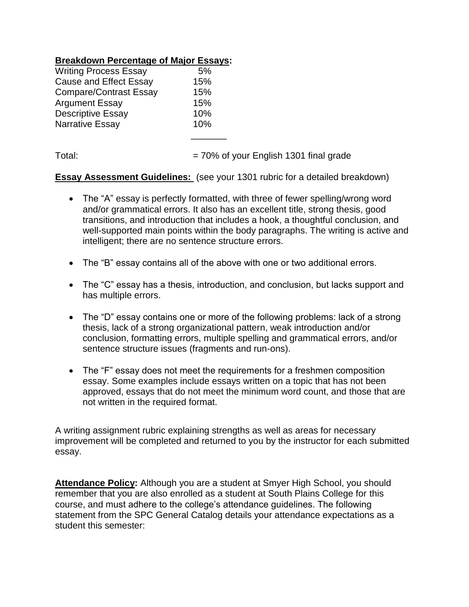#### **Breakdown Percentage of Major Essays:**

| <b>Writing Process Essay</b>  | 5%  |
|-------------------------------|-----|
| <b>Cause and Effect Essay</b> | 15% |
| <b>Compare/Contrast Essay</b> | 15% |
| <b>Argument Essay</b>         | 15% |
| <b>Descriptive Essay</b>      | 10% |
| <b>Narrative Essay</b>        | 10% |
|                               |     |

Total:  $= 70\%$  of your English 1301 final grade

**Essay Assessment Guidelines:** (see your 1301 rubric for a detailed breakdown)

- The "A" essay is perfectly formatted, with three of fewer spelling/wrong word and/or grammatical errors. It also has an excellent title, strong thesis, good transitions, and introduction that includes a hook, a thoughtful conclusion, and well-supported main points within the body paragraphs. The writing is active and intelligent; there are no sentence structure errors.
- The "B" essay contains all of the above with one or two additional errors.
- The "C" essay has a thesis, introduction, and conclusion, but lacks support and has multiple errors.
- The "D" essay contains one or more of the following problems: lack of a strong thesis, lack of a strong organizational pattern, weak introduction and/or conclusion, formatting errors, multiple spelling and grammatical errors, and/or sentence structure issues (fragments and run-ons).
- The "F" essay does not meet the requirements for a freshmen composition essay. Some examples include essays written on a topic that has not been approved, essays that do not meet the minimum word count, and those that are not written in the required format.

A writing assignment rubric explaining strengths as well as areas for necessary improvement will be completed and returned to you by the instructor for each submitted essay.

**Attendance Policy:** Although you are a student at Smyer High School, you should remember that you are also enrolled as a student at South Plains College for this course, and must adhere to the college's attendance guidelines. The following statement from the SPC General Catalog details your attendance expectations as a student this semester: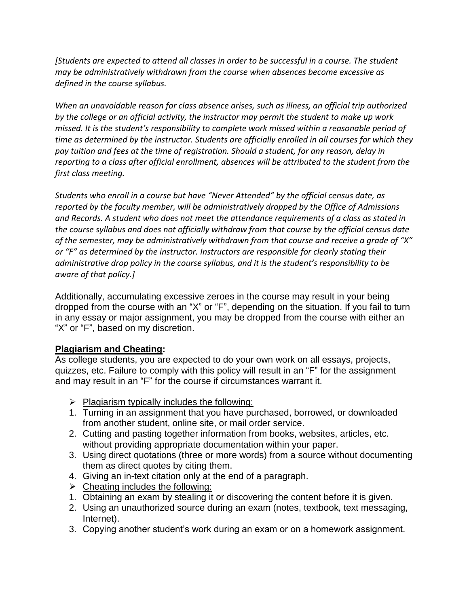*[Students are expected to attend all classes in order to be successful in a course. The student may be administratively withdrawn from the course when absences become excessive as defined in the course syllabus.* 

*When an unavoidable reason for class absence arises, such as illness, an official trip authorized by the college or an official activity, the instructor may permit the student to make up work missed. It is the student's responsibility to complete work missed within a reasonable period of time as determined by the instructor. Students are officially enrolled in all courses for which they pay tuition and fees at the time of registration. Should a student, for any reason, delay in reporting to a class after official enrollment, absences will be attributed to the student from the first class meeting.* 

*Students who enroll in a course but have "Never Attended" by the official census date, as reported by the faculty member, will be administratively dropped by the Office of Admissions and Records. A student who does not meet the attendance requirements of a class as stated in the course syllabus and does not officially withdraw from that course by the official census date of the semester, may be administratively withdrawn from that course and receive a grade of "X" or "F" as determined by the instructor. Instructors are responsible for clearly stating their administrative drop policy in the course syllabus, and it is the student's responsibility to be aware of that policy.]*

Additionally, accumulating excessive zeroes in the course may result in your being dropped from the course with an "X" or "F", depending on the situation. If you fail to turn in any essay or major assignment, you may be dropped from the course with either an "X" or "F", based on my discretion.

### **Plagiarism and Cheating:**

As college students, you are expected to do your own work on all essays, projects, quizzes, etc. Failure to comply with this policy will result in an "F" for the assignment and may result in an "F" for the course if circumstances warrant it.

- $\triangleright$  Plagiarism typically includes the following:
- 1. Turning in an assignment that you have purchased, borrowed, or downloaded from another student, online site, or mail order service.
- 2. Cutting and pasting together information from books, websites, articles, etc. without providing appropriate documentation within your paper.
- 3. Using direct quotations (three or more words) from a source without documenting them as direct quotes by citing them.
- 4. Giving an in-text citation only at the end of a paragraph.
- $\triangleright$  Cheating includes the following:
- 1. Obtaining an exam by stealing it or discovering the content before it is given.
- 2. Using an unauthorized source during an exam (notes, textbook, text messaging, Internet).
- 3. Copying another student's work during an exam or on a homework assignment.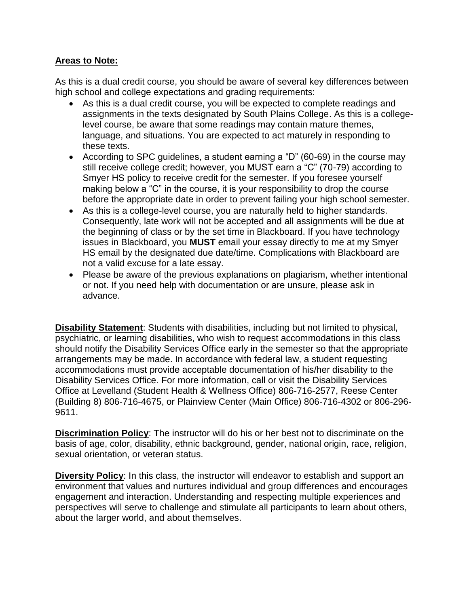#### **Areas to Note:**

As this is a dual credit course, you should be aware of several key differences between high school and college expectations and grading requirements:

- As this is a dual credit course, you will be expected to complete readings and assignments in the texts designated by South Plains College. As this is a collegelevel course, be aware that some readings may contain mature themes, language, and situations. You are expected to act maturely in responding to these texts.
- According to SPC guidelines, a student earning a "D" (60-69) in the course may still receive college credit; however, you MUST earn a "C" (70-79) according to Smyer HS policy to receive credit for the semester. If you foresee yourself making below a "C" in the course, it is your responsibility to drop the course before the appropriate date in order to prevent failing your high school semester.
- As this is a college-level course, you are naturally held to higher standards. Consequently, late work will not be accepted and all assignments will be due at the beginning of class or by the set time in Blackboard. If you have technology issues in Blackboard, you **MUST** email your essay directly to me at my Smyer HS email by the designated due date/time. Complications with Blackboard are not a valid excuse for a late essay.
- Please be aware of the previous explanations on plagiarism, whether intentional or not. If you need help with documentation or are unsure, please ask in advance.

**Disability Statement**: Students with disabilities, including but not limited to physical, psychiatric, or learning disabilities, who wish to request accommodations in this class should notify the Disability Services Office early in the semester so that the appropriate arrangements may be made. In accordance with federal law, a student requesting accommodations must provide acceptable documentation of his/her disability to the Disability Services Office. For more information, call or visit the Disability Services Office at Levelland (Student Health & Wellness Office) 806-716-2577, Reese Center (Building 8) 806-716-4675, or Plainview Center (Main Office) 806-716-4302 or 806-296- 9611.

**Discrimination Policy**: The instructor will do his or her best not to discriminate on the basis of age, color, disability, ethnic background, gender, national origin, race, religion, sexual orientation, or veteran status.

**Diversity Policy:** In this class, the instructor will endeavor to establish and support an environment that values and nurtures individual and group differences and encourages engagement and interaction. Understanding and respecting multiple experiences and perspectives will serve to challenge and stimulate all participants to learn about others, about the larger world, and about themselves.